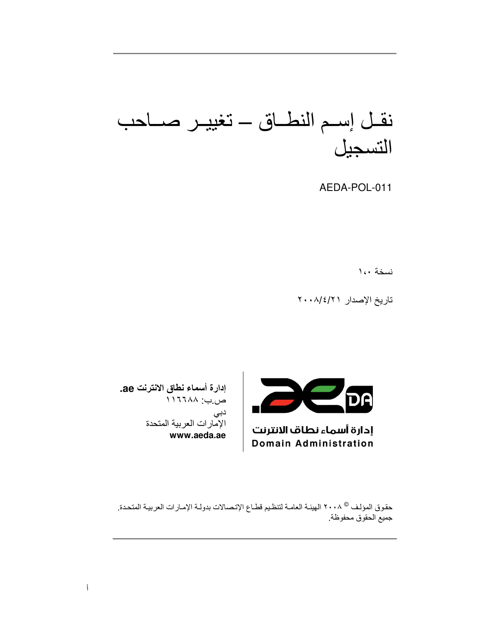نقل إسم النطاق - تغيير صاحب التسجيل

AEDA-POL-011

نسخة ١،٠

تاريخ الإصدار ٢٠٠٨/٤/٢٠٠١



إدارة أسماء نطاف الانترنت **Domain Administration** 

إدارة أسماء نطاق الانترنت ae. ص.ب: ١١٦٦٨٨ دبی الإمارات العربية المتحدة www.aeda.ae

حقوق المؤلف © ٢٠٠٨ الهيئـة العامـة لتنظـيم قطـاع الإتـصـالات بدولـة الإمـارات العربيـة المتحـدة. جميع الحقوق محفوظة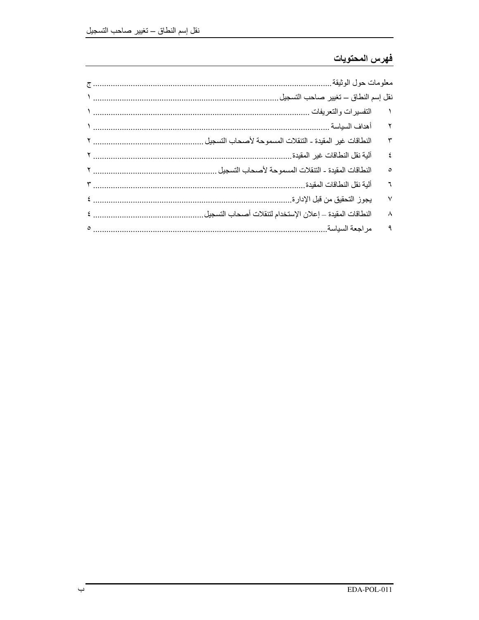### فهرس المحتويات

| نقل إسم النطاق – تغيير صاحب التسجيل .<br>$\sum_{i=1}^{n}$  |               |
|------------------------------------------------------------|---------------|
|                                                            | $\rightarrow$ |
|                                                            | $\mathbf{r}$  |
| النطاقات غير المقيدة ـ التنقلات المسموحة لأصحاب التسجيل .  | $\mathbf{r}$  |
|                                                            | ٤             |
| النطاقات المقيدة - التنقلات المسموحة لأصحاب التسجيل        | $\circ$       |
|                                                            | ٦             |
|                                                            | $\vee$        |
| النطاقات المقيدة ـــ إعلان الإستخدام لتنقلات أصحاب التسجيل | ٨             |
|                                                            | ٩             |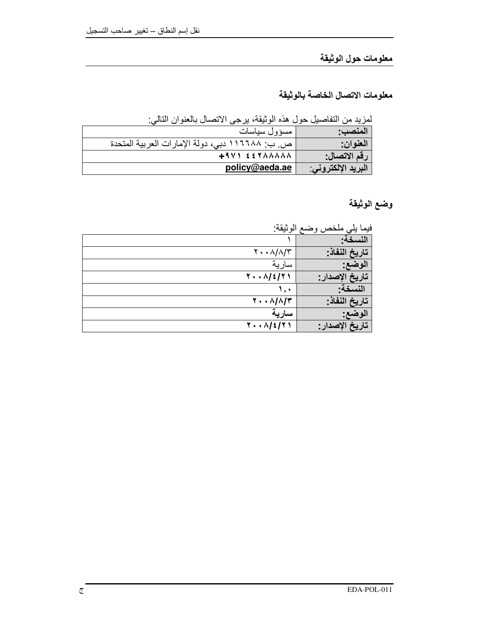معلومات حول الوثيقة

معلومات الاتصال الخاصة بالوثيقة

لمزيد من التفاصيل حول هذه الوثيقة، يرجى الاتصال بالعنوان التالي:

| المنصب:            | مسؤول سياسات                                    |
|--------------------|-------------------------------------------------|
| العنوان:           | ص. ب: ١١٦٦٨٨ دبي، دولة الإمارات العربية المتحدة |
| رقم الاتصال:       | $+9V$ $557$ $A$ $A$ $A$                         |
| البريد الإلكتروني: | policy@aeda.ae                                  |

# وضع الوثيقة

فيما بلي ملخص وضع الوثيقة:

| . <del>. .</del><br><del>. ج چی</del> |                                         |
|---------------------------------------|-----------------------------------------|
| النسخة·                               |                                         |
| تاريخ النفاذ:                         | $Y \cdot \cdot \Lambda/\Lambda/\Lambda$ |
| الوضع:                                | سار ية                                  |
| تاريخ الإصدار :                       | $Y \cdot \cdot \Lambda / 2 / 7$         |
| النسخة:                               | ۱.۰                                     |
| تاريخ النفاذ:                         | $Y \cdot \cdot \Lambda/\Lambda/T$       |
| الوضع:                                | سار ية                                  |
| تاريخ الإصدار :                       | T 1/2/71                                |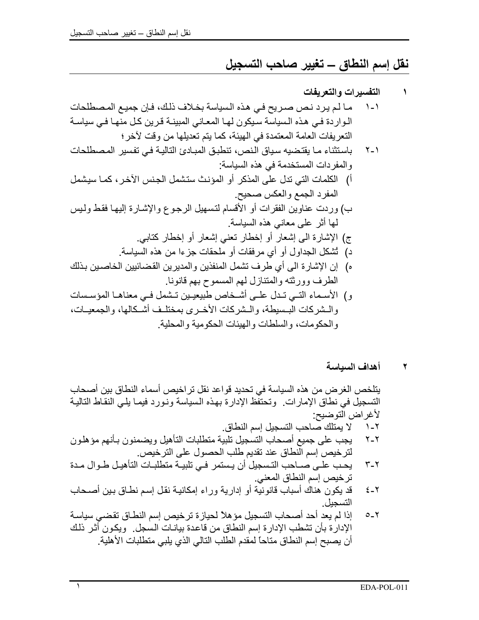## نقل إسم النطاق – تغيير صاحب التسجيل

أهداف السباسة  $\blacktriangledown$ 

 $\lambda$ 

يتلخص الغريض من هذه السياسة في تحديد قواعد نقل تر اخيص أسماء النطاق بين أصحاب التسجيل في نطاق الإمارات. وتحتفَّظ الإدارة بهذه السياسة ونورد فيمـا يلـى النقاط التاليـة لأغراض التوضيح:

- لا يمتلك صاحب التسجيل إسم النطاق.  $\lambda$  -  $\lambda$
- يجب على جميع أصحاب التسجيل تلبية متطلبات التأهيل ويضمنون بـأنهم مؤهلون  $Y-Y$ لترخيص إسم النطاق عند تقديم طلب الحصول على الترخيص.
- يحب علـى صـاحب التـسجيل أن يـستمر فـى تلبيــة متطلبــات التأهيـل طــوال مــدة  $\mathbf{r}$  -  $\mathbf{r}$ ترخيص إسم النطاق المعنى.
- قد يكون هناك أسباب قانونيَّة أو إدارية وراء إمكانيـة نقل إسم نطـاق بـين أصـحاب  $\S$  -  $\Upsilon$ التسجبل.
- إذا لم يعد أحد أصحاب التسجيل مؤهلاً لحيازة ترخيص إسم النطـاق تقضـى سياسـة  $0 - 1$ الإدارة بأن تشطب الإدارة إسم النطاق من قاعدة بيانـات الـسجل\_ ويكـون أثـر ذلك أن يصبح إسم النطاق مناحاً لمقدم الطلب النالي الذي يلبي منطلبات الأهلية.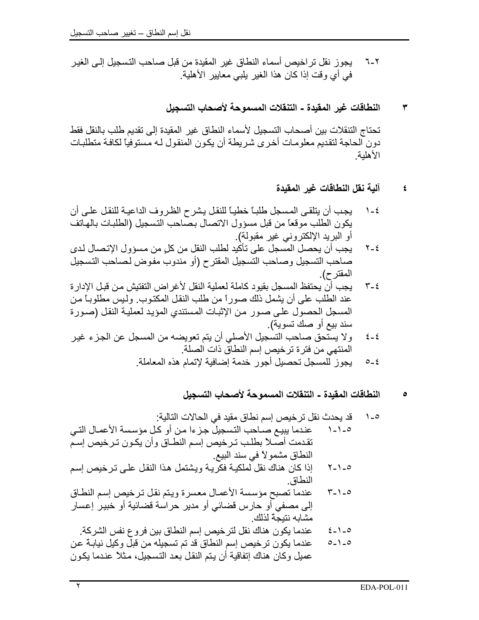- يجوز نقل تراخيص أسماء النطاق غير المقيدة من قبل صاحب التسجيل إلى الغير  $7 - 7$ في أي وقت إذا كان هذا الغير يلبي معايير الأهلية.
	- النطاقات غير المقيدة ـ التنقلات المسموحة لأصحاب التسجيل ٣

تحتاج التنقلات بين أصحاب التسجيل لأسماء النطاق غير المقيدة إلى تقديم طلب بالنقل فقط دون الحاجة لتقديم معلومات أخرى شريطة أن يكون المنقول لـه مستوفياً لكافـة متطلبـات الأهلبة

#### آلية نقل النطاقات غير المقيدة ٤

- يجب أن يتلقى المسجل طلبـًا خطيـًا للنقل يشرح الظروف الداعيـة للنقل علـى أن  $\lambda$  -  $\epsilon$ يكون الطلب موقعًا من قبل مسؤول الاتصال بصاحب التسجيل (الطلبات بالهاتف أو البريد الإلكتروني غير مقبولة).
- يجب أن يحصل المسجل على تأكيد لطلب النقل من كلٍ من مسؤول الإتصال لدى  $Y - \xi$ صاحب التسجيل وصاحب التسجيل المقترح (أو مندوب مفوض لصاحب التسجيل المقترح).
- يجب أنَّ يحتفظ المسجل بقيو د كاملة لعملية النقل لأغر اض التفتيش من قبل الإدار ة  $\mathbf{y} - \mathbf{z}$ عند الطلب على أن يشمل ذلك صور أ من طلب النقل المكتوب. وليس مطلوبــًا من المسجل الحصول على صور من الإثبات المستندي المؤيد لعملية النقل (صورة سند بيع أو صك تسوية).
- ولا يستَّحق صـاحب التسجيل الأصلي أن يتم تعويضـه من المسجل عن الجزء غير  $2 - 2$ المنتهى من فترة ترخيص إسم النطاق ذات الصلة.
	- يجوز للمسجل تحصيل أجور خدمة إضافية لإتمام هذه المعاملة.  $0 - 2$

#### النطاقات المقيدة ـ التنقلات المسموحة لأصحاب التسجيل ٥

- النطاق عندما تصبح مؤسسة الأعمال معسرة ويتم نقل ترخيص إسم النطاق  $T-1-0$ إلى مصفى أو حارس قضائي أو مدير حراسة قضائية أو خبير إعسار
	- مشابه نتيجة لذلك
	- عندما يكون هناك نقل لترخيص إسم النطاق بين فروع نفس الشركة.  $2 - 1 - 0$
- عندما يكون ترخيص إسم النطاق قد تم تسجيله من قبل وكيل نيابـة عن  $0 - 1 - 0$ عميل وكان هناك إتفاقية أن يتم النقل بعد التسجيل، مثلاً عندما يكون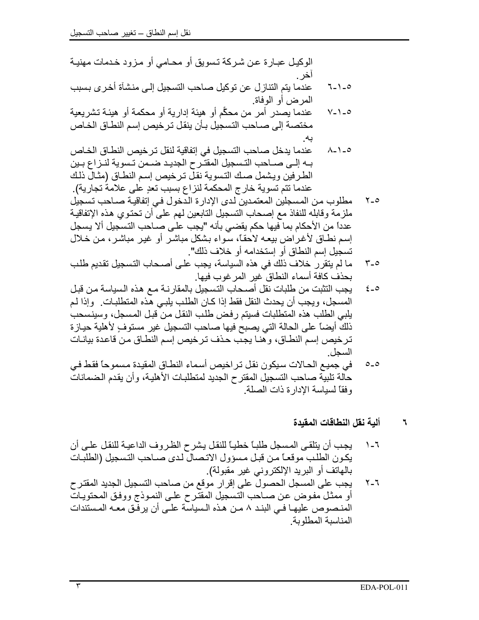الوكيل عبـارة عـن شـركة تـسويق أو محـامي أو مـزود خـدمات مهنيـة اخر . عندما يتم التنازل عن توكيل صاحب التسجيل إلى منشآة أخرى بسبب  $7 - 1 - 0$ 

- المرض أو الوفاة. عندما بصدر أمر من محكَّم أو هيئة إدارية أو محكمة أو هيئـة تشريعية  $V - 1 - 0$ مختصة إلى صـاحب التسجيل بـأن ينقل تـرخيص إسم النطـاق الخـاص ىە
- عندما يدخل صاحب التسجيل في إتفاقية لنقل ترخيص النطاق الخاص  $A - 1 - 0$ بـه إلــي صــاحب التـسجيل المقتـر ح الجديـد ضـمن تـسوية لنـزاع بـين الطرفين ويشمل صك التسوية نقلٌّ ترخيص إسم النطـاق (مثـالٌ ذلك عندما نتم تسوية خارج المحكمة لنزاع بسبب تعدِ على علامةً تجارية).
- مطلوب من المسجلين المعتمدين لدى الإدارة الدخول في إتفاقية صـاحب تسجيل  $Y - Q$ ملزمة وقابله للنفاذ مع إصحاب التسجيل التابعين لهم على أن تحتوي هذه الإتفاقية عدداً من الأحكام بما فيها حكم يقضي بأنه "يجب على صـاحب التسجيل ألا يسجل إسم نطــاق لأغـراض بيعــه لاحقـًا، سـواء بـشكل مباشـر أو غيـر مباشـر، مـن خـلال تسجيل إسم النطاق أو إستخدامه أو خلاف ذلك".
- ما لم يتقرر خلاف ذلك في هذه السياسة، يجب على أصحاب التسجيل تقديم طلب  $r_{-}$ بحذف كافة أسماء النطاق غير المر غوب فيها.
- يجب التثبت من طلبات نقل أصـحاب التسجيل بالمقارنـة مـع هذه السياسة مـن قبـل  $2 - 0$ المسجل، ويجب أن يحدث النقل فقط إذا كـان الطلب يلبـي هذه المنطلبـات . وإذا لـم يلبي الطلب هذه المتطلبات فسيتم رفض طلب النقل من قبل المسجل، وسينسحب ذلك أيضاً على الحالة التي يصبح فيها صاحب التسجيل غير مستوفٍ لأهلية حيازة تر خيص إسم النطـاق، و هنـا يجـب حـذف تـر خيص إسم النطـاق مـن قاعـدة بيانـات السحل
- في جميع الحالات سيكون نقل تراخيص أسماء النطاق المقيدة مسموحاً فقط في  $O_O$ حالة تلبية صاحب التسجيل المقترح الجديد لمتطلبات الأهلية، وأن يقدم الضمانات وفقاً لسياسة الإدار ة ذات الصلة

#### ألية نقل النطاقات المقيدة ٦

- يجب أن يتلقى المسجل طلباً خطياً للنقل يشرح الظروف الداعية للنقل على أن  $1 - 7$ يكون الطلب موقعـًا مـن قبـل مـسؤول الاتـصـال لـدي صــاحب التـسجيل (الطلبـات بالهاتف أو البريد الإلكتروني غير مقبولة).
- يجب على المسجل الحصول على إقرار موقع من صاحب التسجيل الجديد المقترح  $Y - 7$ أو ممثل مفوض عن صـاحب التسجيل المقترح علـى النمـوذج ووفق المحتويـات المنصوص عليهـا فـي البنـد ٨ مـن هـذه الـسياسة علـي أن يرفـق معـه المـستندات المناسبة المطلوبة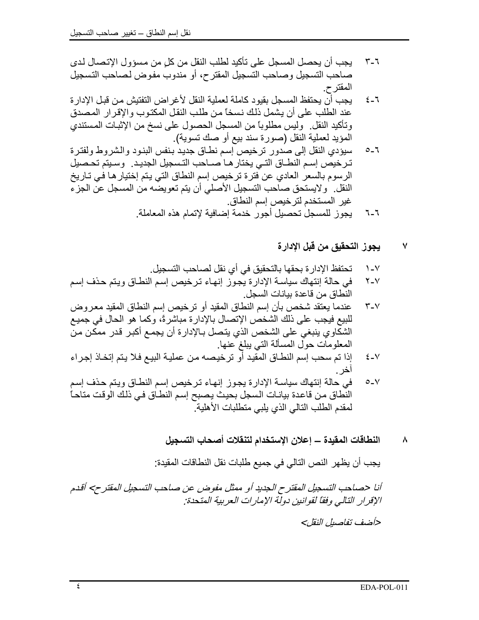- يجب أن يحصل المسجل على تأكيد لطلب النقل من كل من مسؤول الإتصال لدى  $\mathsf{r}\mathsf{-}\mathsf{r}$ صاحب التسجيل وصاحب التسجيل المقترح، أو مندوب مفوض لصاحب التسجيل المقترح.
- يجب أن يحتفظ المسجل بقيو د كاملة لعملية النقل لأغر اض التفتيش من قبل الإدار ة  $2 - 7$ عند الطلب على أن يشمل ذلك نسخاً من طلب النقل المكتوب والإقرار المصدق وتأكيد النقل. ۖ وليس مطلوبًا من المسجل الحصول على نسخ من الإثبات المستندي ۖ المؤيد لعملية النقل (صورة سند بيع أو صك تسوية).
- سيؤدى النقل إلى صدور ترخيص إسم نطاق جديد بنفس البنود والشروط ولفترة  $0 - 1$ تـرخيص إسم النطــاق التــى يختار هـا صــاحب التـسجيل الجديـد. وسـيتم تحـصيل الرسوم بالسعر العادي عن فترة ترخيص إسم النطاق التي يتم إختيار هـا فـي تـاريخ النقل. ولايستحق صـاحب التسجيل الأصلـى أن يتم تعويضـه من المسجل عن الجزء غير المستخدم لترخيص إسم النطاق.
	- يجوز للمسجل تحصبل أجور خدمة إضافية لإتمام هذه المعاملة. ٦ $-7$

### يجوز التحقيق من قبل الإدارة ٧

- تحتفظ الإدار ة بحقها بالتحقيق في أي نقل لصـاحب التسجيل.  $\lambda - \sqrt{ }$
- في حالة إنتهاك سياسة الإدارة يجوز إنهاء ترخيص إسم النطاق ويتم حذف إسم  $Y - Y$ النطاق من قاعدة بيانات السجل.
- عندما يعتقد شخص بأن إسم النطاق المقيد أو ترخيص إسم النطاق المقيد معروض  $Y - Y$ للبيع فيجب على ذلك الشخص الإتصال بالإدارة مباشرةً، وكما هو الحال في جميع الشكاوي ينبغي على الشخص الذي يتصل بـالإدارة أن يجمـع أكبـر قدر ممكن من المعلومات حول المسألة التي يبلغ عنها.
- إذا تم سحب إسم النطـاق المقيد أو ترخيصـه مـن عمليـة البيـع فـلا يـتم إتخـاذ إجـراء  $E-V$ آخر .
- في حالة إنتهاك سياسة الإدارة يجوز إنهاء ترخيص إسم النطاق ويتم حذف إسم  $O-V$ النطاق من قاعدة بيانـات السجل بحيث يصبح إسم النطـاق فـي ذلك الوقت متاحـاً لمقدم الطلب التالي الذي يلبي متطلبات الأهلية
	- النطاقات المقيدة ـــ إعلان الإستخدام لتنقلات أصحاب التسجيل  $\lambda$

يجب أن يظهر النص التالي في جميع طلبات نقل النطاقات المقيدة:

أنا حصاحب التسجيل المقترح الجديد أو ممثل مفوض عن صاحب التسجيل المقترح> أقدم الإقرار التالبي وفقاً لقوانين دولّة الإمار ات العربية المتحدة.